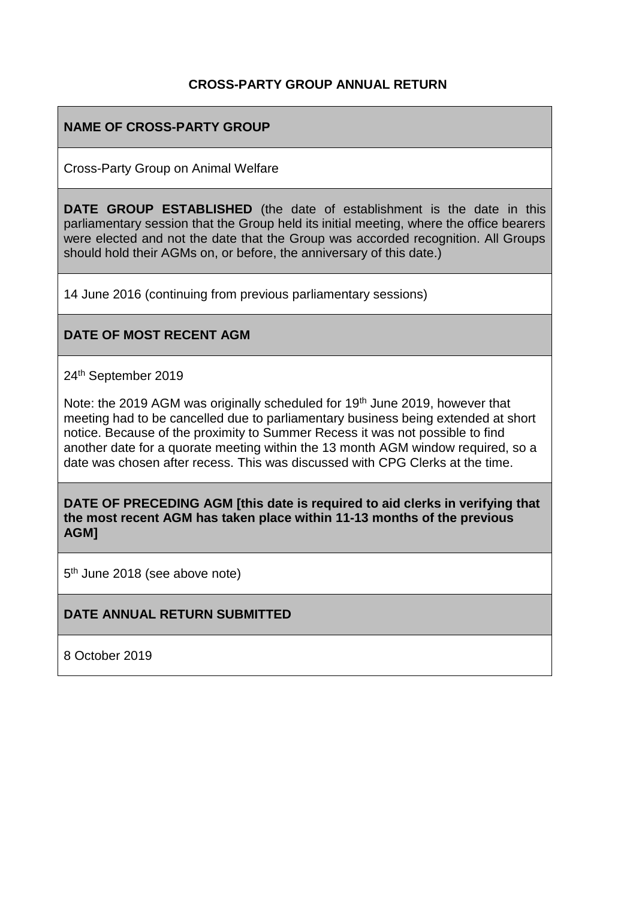#### **CROSS-PARTY GROUP ANNUAL RETURN**

### **NAME OF CROSS-PARTY GROUP**

Cross-Party Group on Animal Welfare

**DATE GROUP ESTABLISHED** (the date of establishment is the date in this parliamentary session that the Group held its initial meeting, where the office bearers were elected and not the date that the Group was accorded recognition. All Groups should hold their AGMs on, or before, the anniversary of this date.)

14 June 2016 (continuing from previous parliamentary sessions)

#### **DATE OF MOST RECENT AGM**

24th September 2019

Note: the 2019 AGM was originally scheduled for 19<sup>th</sup> June 2019, however that meeting had to be cancelled due to parliamentary business being extended at short notice. Because of the proximity to Summer Recess it was not possible to find another date for a quorate meeting within the 13 month AGM window required, so a date was chosen after recess. This was discussed with CPG Clerks at the time.

**DATE OF PRECEDING AGM [this date is required to aid clerks in verifying that the most recent AGM has taken place within 11-13 months of the previous AGM]**

5<sup>th</sup> June 2018 (see above note)

#### **DATE ANNUAL RETURN SUBMITTED**

8 October 2019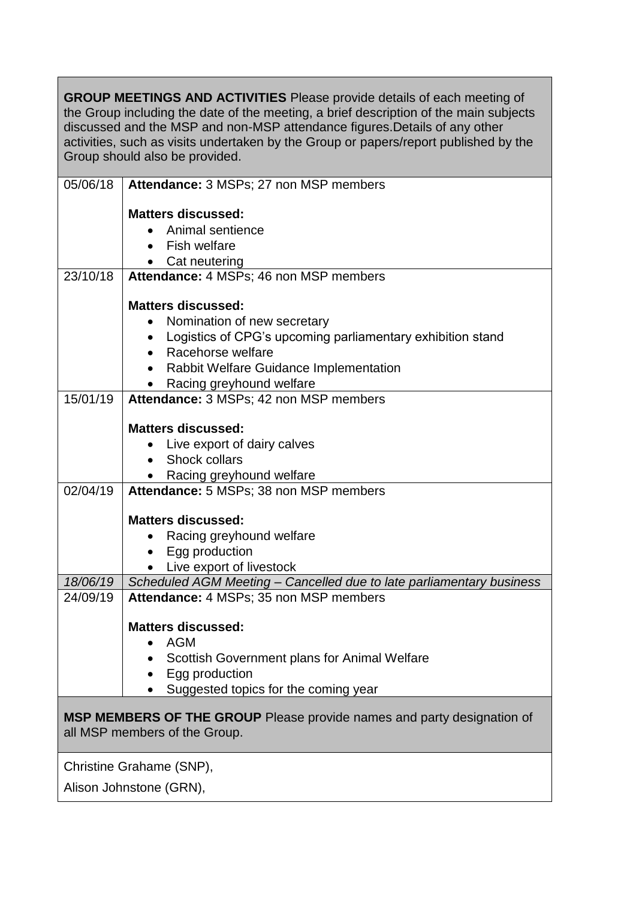**GROUP MEETINGS AND ACTIVITIES** Please provide details of each meeting of the Group including the date of the meeting, a brief description of the main subjects discussed and the MSP and non-MSP attendance figures.Details of any other activities, such as visits undertaken by the Group or papers/report published by the Group should also be provided.

| 05/06/18                                                                                                       | Attendance: 3 MSPs; 27 non MSP members                               |  |
|----------------------------------------------------------------------------------------------------------------|----------------------------------------------------------------------|--|
|                                                                                                                | <b>Matters discussed:</b>                                            |  |
|                                                                                                                | Animal sentience                                                     |  |
|                                                                                                                | <b>Fish welfare</b>                                                  |  |
|                                                                                                                | • Cat neutering                                                      |  |
| 23/10/18                                                                                                       | Attendance: 4 MSPs; 46 non MSP members                               |  |
|                                                                                                                |                                                                      |  |
|                                                                                                                | <b>Matters discussed:</b>                                            |  |
|                                                                                                                | Nomination of new secretary                                          |  |
|                                                                                                                | Logistics of CPG's upcoming parliamentary exhibition stand           |  |
|                                                                                                                | • Racehorse welfare                                                  |  |
|                                                                                                                | • Rabbit Welfare Guidance Implementation                             |  |
|                                                                                                                | Racing greyhound welfare                                             |  |
| 15/01/19                                                                                                       | Attendance: 3 MSPs; 42 non MSP members                               |  |
|                                                                                                                |                                                                      |  |
|                                                                                                                | <b>Matters discussed:</b>                                            |  |
|                                                                                                                | Live export of dairy calves                                          |  |
|                                                                                                                | • Shock collars                                                      |  |
| 02/04/19                                                                                                       | • Racing greyhound welfare<br>Attendance: 5 MSPs; 38 non MSP members |  |
|                                                                                                                |                                                                      |  |
|                                                                                                                | <b>Matters discussed:</b>                                            |  |
|                                                                                                                | Racing greyhound welfare                                             |  |
|                                                                                                                | Egg production                                                       |  |
|                                                                                                                | • Live export of livestock                                           |  |
| 18/06/19                                                                                                       | Scheduled AGM Meeting - Cancelled due to late parliamentary business |  |
| 24/09/19                                                                                                       | Attendance: 4 MSPs; 35 non MSP members                               |  |
|                                                                                                                |                                                                      |  |
|                                                                                                                | <b>Matters discussed:</b>                                            |  |
|                                                                                                                | AGM                                                                  |  |
|                                                                                                                | Scottish Government plans for Animal Welfare                         |  |
|                                                                                                                | Egg production                                                       |  |
|                                                                                                                | Suggested topics for the coming year                                 |  |
|                                                                                                                |                                                                      |  |
| <b>MSP MEMBERS OF THE GROUP</b> Please provide names and party designation of<br>all MSP members of the Group. |                                                                      |  |
|                                                                                                                |                                                                      |  |
|                                                                                                                | Christine Grahame (SNP),                                             |  |
| Alison Johnstone (GRN),                                                                                        |                                                                      |  |
|                                                                                                                |                                                                      |  |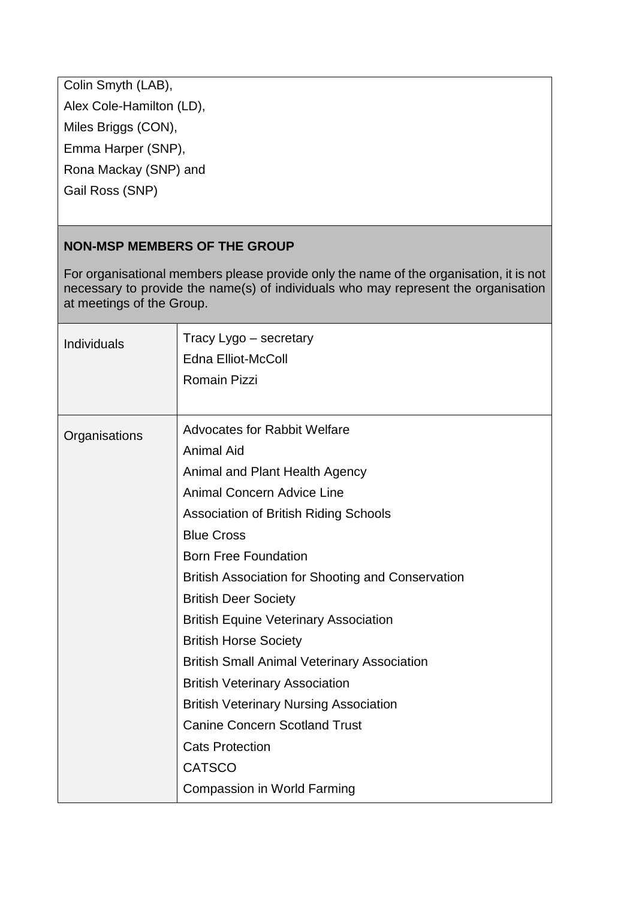Colin Smyth (LAB), Alex Cole-Hamilton (LD), Miles Briggs (CON), Emma Harper (SNP), Rona Mackay (SNP) and Gail Ross (SNP)

## **NON-MSP MEMBERS OF THE GROUP**

For organisational members please provide only the name of the organisation, it is not necessary to provide the name(s) of individuals who may represent the organisation at meetings of the Group.

| <b>Individuals</b> | Tracy Lygo - secretary<br><b>Edna Elliot-McColl</b><br><b>Romain Pizzi</b>                                                                                                                                                                                                                                                                                                                                                                                                                                                                                                                                                                                                              |
|--------------------|-----------------------------------------------------------------------------------------------------------------------------------------------------------------------------------------------------------------------------------------------------------------------------------------------------------------------------------------------------------------------------------------------------------------------------------------------------------------------------------------------------------------------------------------------------------------------------------------------------------------------------------------------------------------------------------------|
| Organisations      | <b>Advocates for Rabbit Welfare</b><br><b>Animal Aid</b><br>Animal and Plant Health Agency<br><b>Animal Concern Advice Line</b><br><b>Association of British Riding Schools</b><br><b>Blue Cross</b><br><b>Born Free Foundation</b><br><b>British Association for Shooting and Conservation</b><br><b>British Deer Society</b><br><b>British Equine Veterinary Association</b><br><b>British Horse Society</b><br><b>British Small Animal Veterinary Association</b><br><b>British Veterinary Association</b><br><b>British Veterinary Nursing Association</b><br><b>Canine Concern Scotland Trust</b><br><b>Cats Protection</b><br><b>CATSCO</b><br><b>Compassion in World Farming</b> |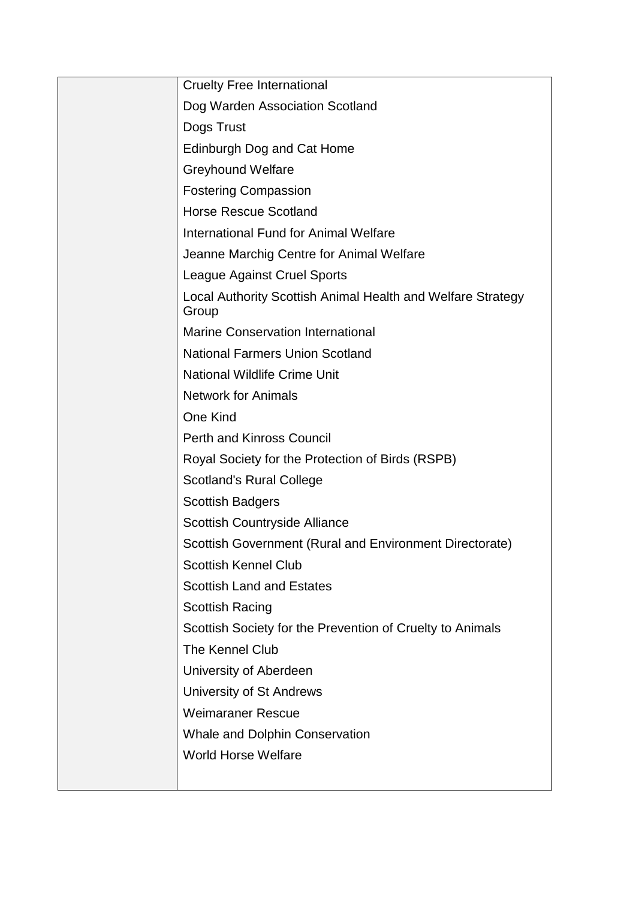| <b>Cruelty Free International</b>                                    |
|----------------------------------------------------------------------|
| Dog Warden Association Scotland                                      |
| Dogs Trust                                                           |
| Edinburgh Dog and Cat Home                                           |
| <b>Greyhound Welfare</b>                                             |
| <b>Fostering Compassion</b>                                          |
| <b>Horse Rescue Scotland</b>                                         |
| <b>International Fund for Animal Welfare</b>                         |
| Jeanne Marchig Centre for Animal Welfare                             |
| <b>League Against Cruel Sports</b>                                   |
| Local Authority Scottish Animal Health and Welfare Strategy<br>Group |
| <b>Marine Conservation International</b>                             |
| <b>National Farmers Union Scotland</b>                               |
| <b>National Wildlife Crime Unit</b>                                  |
| <b>Network for Animals</b>                                           |
| <b>One Kind</b>                                                      |
| <b>Perth and Kinross Council</b>                                     |
| Royal Society for the Protection of Birds (RSPB)                     |
| <b>Scotland's Rural College</b>                                      |
| <b>Scottish Badgers</b>                                              |
| Scottish Countryside Alliance                                        |
| Scottish Government (Rural and Environment Directorate)              |
| <b>Scottish Kennel Club</b>                                          |
| <b>Scottish Land and Estates</b>                                     |
| <b>Scottish Racing</b>                                               |
| Scottish Society for the Prevention of Cruelty to Animals            |
| The Kennel Club                                                      |
| University of Aberdeen                                               |
| University of St Andrews                                             |
| <b>Weimaraner Rescue</b>                                             |
| Whale and Dolphin Conservation                                       |
| <b>World Horse Welfare</b>                                           |
|                                                                      |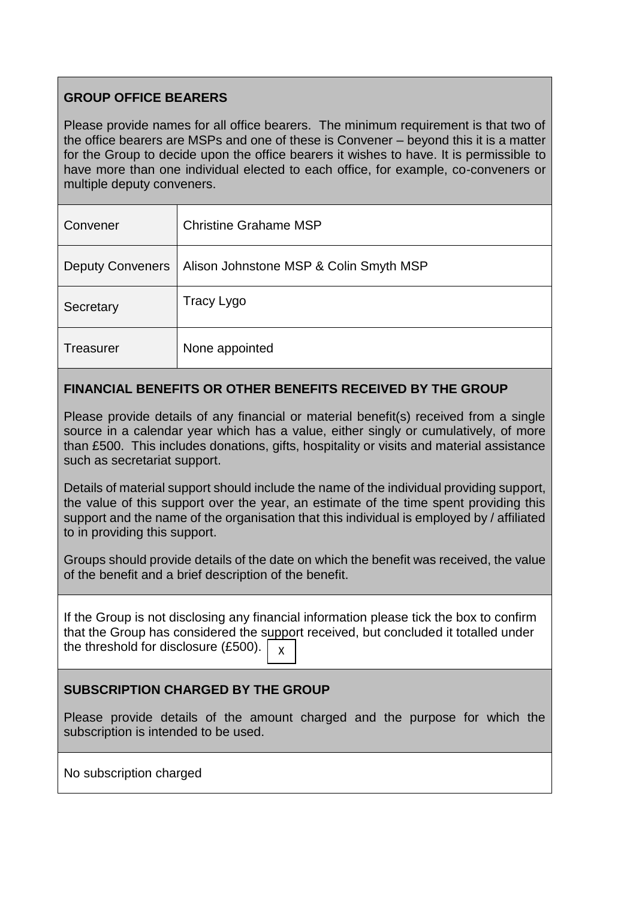# **GROUP OFFICE BEARERS**

Please provide names for all office bearers. The minimum requirement is that two of the office bearers are MSPs and one of these is Convener – beyond this it is a matter for the Group to decide upon the office bearers it wishes to have. It is permissible to have more than one individual elected to each office, for example, co-conveners or multiple deputy conveners.

| Convener                | <b>Christine Grahame MSP</b>           |
|-------------------------|----------------------------------------|
| <b>Deputy Conveners</b> | Alison Johnstone MSP & Colin Smyth MSP |
| Secretary               | Tracy Lygo                             |
| <b>Treasurer</b>        | None appointed                         |

# **FINANCIAL BENEFITS OR OTHER BENEFITS RECEIVED BY THE GROUP**

Please provide details of any financial or material benefit(s) received from a single source in a calendar year which has a value, either singly or cumulatively, of more than £500. This includes donations, gifts, hospitality or visits and material assistance such as secretariat support.

Details of material support should include the name of the individual providing support, the value of this support over the year, an estimate of the time spent providing this support and the name of the organisation that this individual is employed by / affiliated to in providing this support.

Groups should provide details of the date on which the benefit was received, the value of the benefit and a brief description of the benefit.

If the Group is not disclosing any financial information please tick the box to confirm that the Group has considered the support received, but concluded it totalled under the threshold for disclosure (£500). X

## **SUBSCRIPTION CHARGED BY THE GROUP**

Please provide details of the amount charged and the purpose for which the subscription is intended to be used.

No subscription charged